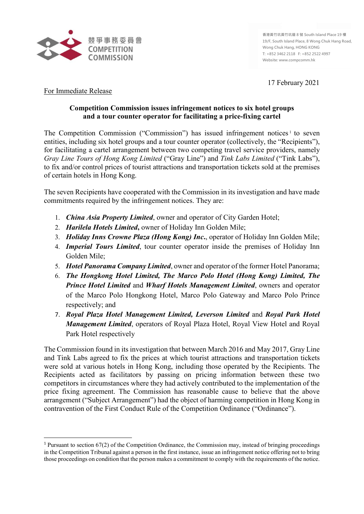

**香港黃竹坑黃竹坑道 8 號 South Island Place 19 樓 19/F, South Island Place, 8 Wong Chuk Hang Road, Wong Chuk Hang, HONG KONG T: +852 3462 2118 F: +852 2522 4997 Website: www.compcomm.hk**

17 February 2021

## For Immediate Release

## **Competition Commission issues infringement notices to six hotel groups and a tour counter operator for facilitating a price-fixing cartel**

The Competition Commission ("Commission") has issued infringement notices<sup>[1](#page-0-0)</sup> to seven entities, including six hotel groups and a tour counter operator (collectively, the "Recipients"), for facilitating a cartel arrangement between two competing travel service providers, namely *Gray Line Tours of Hong Kong Limited* ("Gray Line") and *Tink Labs Limited* ("Tink Labs"), to fix and/or control prices of tourist attractions and transportation tickets sold at the premises of certain hotels in Hong Kong.

The seven Recipients have cooperated with the Commission in its investigation and have made commitments required by the infringement notices. They are:

- 1. *China Asia Property Limited*, owner and operator of City Garden Hotel;
- 2. *Harilela Hotels Limited***,** owner of Holiday Inn Golden Mile;
- 3. *Holiday Inns Crowne Plaza (Hong Kong) Inc***.**, operator of Holiday Inn Golden Mile;
- 4. *Imperial Tours Limited*, tour counter operator inside the premises of Holiday Inn Golden Mile;
- 5. *Hotel Panorama Company Limited*, owner and operator of the former Hotel Panorama;
- 6. *The Hongkong Hotel Limited, The Marco Polo Hotel (Hong Kong) Limited, The Prince Hotel Limited* and *Wharf Hotels Management Limited*, owners and operator of the Marco Polo Hongkong Hotel, Marco Polo Gateway and Marco Polo Prince respectively; and
- 7. *Royal Plaza Hotel Management Limited, Leverson Limited* and *Royal Park Hotel Management Limited*, operators of Royal Plaza Hotel, Royal View Hotel and Royal Park Hotel respectively

The Commission found in its investigation that between March 2016 and May 2017, Gray Line and Tink Labs agreed to fix the prices at which tourist attractions and transportation tickets were sold at various hotels in Hong Kong, including those operated by the Recipients. The Recipients acted as facilitators by passing on pricing information between these two competitors in circumstances where they had actively contributed to the implementation of the price fixing agreement. The Commission has reasonable cause to believe that the above arrangement ("Subject Arrangement") had the object of harming competition in Hong Kong in contravention of the First Conduct Rule of the Competition Ordinance ("Ordinance").

<span id="page-0-0"></span> <sup>1</sup> Pursuant to section 67(2) of the Competition Ordinance, the Commission may, instead of bringing proceedings in the Competition Tribunal against a person in the first instance, issue an infringement notice offering not to bring those proceedings on condition that the person makes a commitment to comply with the requirements of the notice.